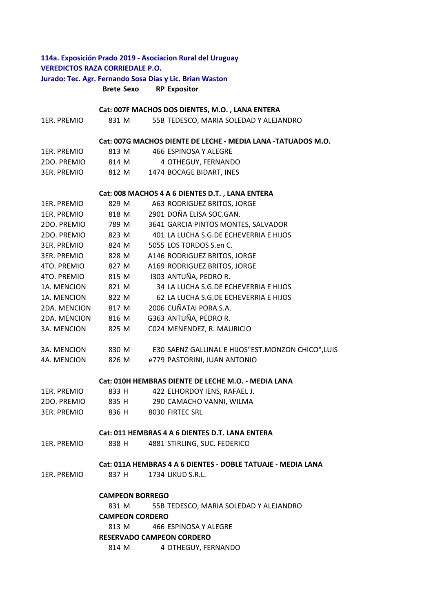# **114a. Exposición Prado 2019 ‐ Asociacion Rural del Uruguay VEREDICTOS RAZA CORRIEDALE P.O. Jurado: Tec. Agr. Fernando Sosa Días y Lic. Brian Waston**

**Brete Sexo RP Expositor**

# **Cat: 007F MACHOS DOS DIENTES, M.O. , LANA ENTERA**

| 1ER. PREMIO        | 831 M                  | 55B TEDESCO, MARIA SOLEDAD Y ALEJANDRO                       |
|--------------------|------------------------|--------------------------------------------------------------|
|                    |                        | Cat: 007G MACHOS DIENTE DE LECHE - MEDIA LANA -TATUADOS M.O. |
| 1ER. PREMIO        | 813 M                  | 466 ESPINOSA Y ALEGRE                                        |
| 2DO. PREMIO        | 814 M                  | 4 OTHEGUY, FERNANDO                                          |
| <b>3ER. PREMIO</b> | 812 M                  | 1474 BOCAGE BIDART, INES                                     |
|                    |                        | Cat: 008 MACHOS 4 A 6 DIENTES D.T., LANA ENTERA              |
| 1ER. PREMIO        | 829 M                  | A63 RODRIGUEZ BRITOS, JORGE                                  |
| 1ER. PREMIO        | 818 M                  | 2901 DOÑA ELISA SOC.GAN.                                     |
| 2DO. PREMIO        | 789 M                  | 3641 GARCIA PINTOS MONTES, SALVADOR                          |
| 2DO. PREMIO        | 823 M                  | 401 LA LUCHA S.G.DE ECHEVERRIA E HIJOS                       |
| <b>3ER. PREMIO</b> | 824 M                  | 5055 LOS TORDOS S.en C.                                      |
| 3ER. PREMIO        | 828 M                  | A146 RODRIGUEZ BRITOS, JORGE                                 |
| 4TO. PREMIO        | 827 M                  | A169 RODRIGUEZ BRITOS, JORGE                                 |
| 4TO. PREMIO        | 815 M                  | 1303 ANTUÑA, PEDRO R.                                        |
| 1A. MENCION        | 821 M                  | 34 LA LUCHA S.G.DE ECHEVERRIA E HIJOS                        |
| 1A. MENCION        | 822 M                  | 62 LA LUCHA S.G.DE ECHEVERRIA E HIJOS                        |
| 2DA. MENCION       | 817 M                  | 2006 CUÑATAI PORA S.A.                                       |
| 2DA. MENCION       | 816 M                  | G363 ANTUÑA, PEDRO R.                                        |
| 3A. MENCION        | 825 M                  | C024 MENENDEZ, R. MAURICIO                                   |
| 3A. MENCION        | 830 M                  | E30 SAENZ GALLINAL E HIJOS"EST.MONZON CHICO", LUIS           |
| 4A. MENCION        | 826 M                  | e779 PASTORINI, JUAN ANTONIO                                 |
|                    |                        | Cat: 010H HEMBRAS DIENTE DE LECHE M.O. - MEDIA LANA          |
| 1ER. PREMIO        | 833 H                  | 422 ELHORDOY IENS, RAFAEL J.                                 |
| 2DO. PREMIO        | 835 H                  | 290 CAMACHO VANNI, WILMA                                     |
| <b>3ER. PREMIO</b> | 836 H                  | 8030 FIRTEC SRL                                              |
|                    |                        | Cat: 011 HEMBRAS 4 A 6 DIENTES D.T. LANA ENTERA              |
| 1ER. PREMIO        |                        | 838 H 4881 STIRLING, SUC. FEDERICO                           |
|                    |                        | Cat: 011A HEMBRAS 4 A 6 DIENTES - DOBLE TATUAJE - MEDIA LANA |
| 1ER. PREMIO        | 837 H                  | 1734 LIKUD S.R.L.                                            |
|                    | <b>CAMPEON BORREGO</b> |                                                              |
|                    | 831 M                  | 55B TEDESCO, MARIA SOLEDAD Y ALEJANDRO                       |
|                    | <b>CAMPEON CORDERO</b> |                                                              |
|                    | 813 M                  | 466 ESPINOSA Y ALEGRE                                        |
|                    |                        | <b>RESERVADO CAMPEON CORDERO</b>                             |
|                    | 814 M                  | 4 OTHEGUY, FERNANDO                                          |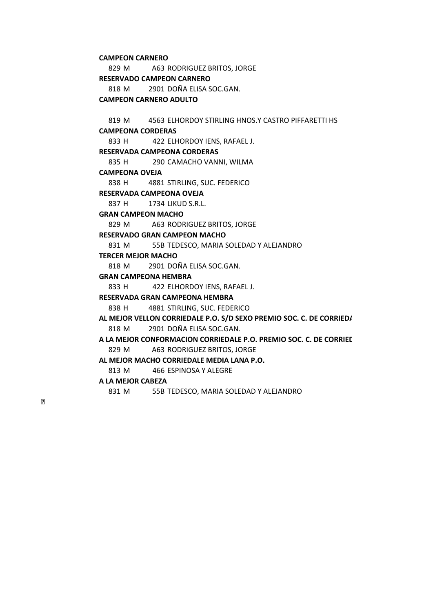#### **CAMPEON CARNERO**

829 M A63 RODRIGUEZ BRITOS, JORGE 818 M 2901 DOÑA ELISA SOC.GAN. **RESERVADO CAMPEON CARNERO** 

**CAMPEON CARNERO ADULTO** 

819 M 4563 ELHORDOY STIRLING HNOS.Y CASTRO PIFFARETTI HS **CAMPEONA CORDERAS** 

833 H 422 ELHORDOY IENS, RAFAEL J.

#### **RESERVADA CAMPEONA CORDERAS**

835 H 290 CAMACHO VANNI, WILMA

**CAMPEONA OVEJA** 

838 H 4881 STIRLING, SUC. FEDERICO

#### **RESERVADA CAMPEONA OVEJA**

837 H 1734 LIKUD S.R.L.

### **GRAN CAMPEON MACHO**

829 M A63 RODRIGUEZ BRITOS, JORGE

# **RESERVADO GRAN CAMPEON MACHO**

831 M 55B TEDESCO, MARIA SOLEDAD Y ALEJANDRO

### **TERCER MEJOR MACHO**

818 M 2901 DOÑA ELISA SOC.GAN.

## **GRAN CAMPEONA HEMBRA**

833 H 422 ELHORDOY IENS, RAFAEL J.

### **RESERVADA GRAN CAMPEONA HEMBRA**

838 H 4881 STIRLING, SUC. FEDERICO

818 M 2901 DOÑA ELISA SOC.GAN. **AL MEJOR VELLON CORRIEDALE P.O. S/D SEXO PREMIO SOC. C. DE CORRIEDA**

829 M A63 RODRIGUEZ BRITOS, JORGE **A LA MEJOR CONFORMACION CORRIEDALE P.O. PREMIO SOC. C. DE CORRIED**

**AL MEJOR MACHO CORRIEDALE MEDIA LANA P.O.** 

813 M 466 ESPINOSA Y ALEGRE

### **A LA MEJOR CABEZA**

831 M 55B TEDESCO, MARIA SOLEDAD Y ALEJANDRO